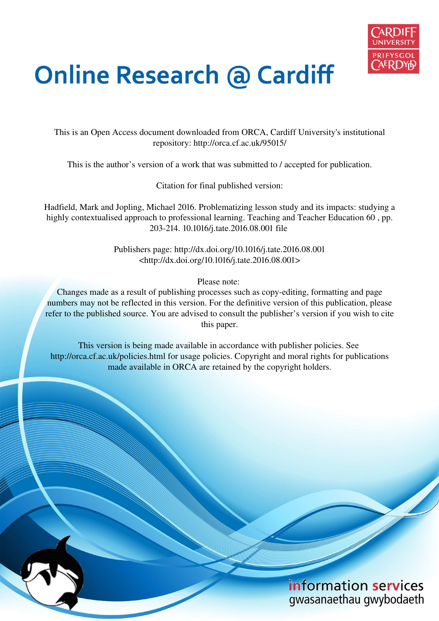

# **Online Research @ Cardiff**

This is an Open Access document downloaded from ORCA, Cardiff University's institutional repository: http://orca.cf.ac.uk/95015/

This is the author's version of a work that was submitted to / accepted for publication.

Citation for final published version:

Hadfield, Mark and Jopling, Michael 2016. Problematizing lesson study and its impacts: studying a highly contextualised approach to professional learning. Teaching and Teacher Education 60, pp. 203-214. 10.1016/j.tate.2016.08.001 file

> Publishers page: http://dx.doi.org/10.1016/j.tate.2016.08.001 <http://dx.doi.org/10.1016/j.tate.2016.08.001>

> > Please note:

Changes made as a result of publishing processes such as copy-editing, formatting and page numbers may not be reflected in this version. For the definitive version of this publication, please refer to the published source. You are advised to consult the publisher's version if you wish to cite this paper.

This version is being made available in accordance with publisher policies. See http://orca.cf.ac.uk/policies.html for usage policies. Copyright and moral rights for publications made available in ORCA are retained by the copyright holders.

# information services gwasanaethau gwybodaeth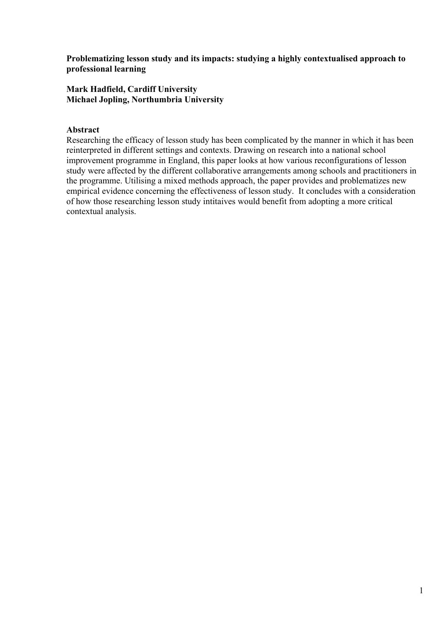**Problematizing lesson study and its impacts: studying a highly contextualised approach to professional learning** 

#### **Mark Hadfield, Cardiff University Michael Jopling, Northumbria University**

#### **Abstract**

Researching the efficacy of lesson study has been complicated by the manner in which it has been reinterpreted in different settings and contexts. Drawing on research into a national school improvement programme in England, this paper looks at how various reconfigurations of lesson study were affected by the different collaborative arrangements among schools and practitioners in the programme. Utilising a mixed methods approach, the paper provides and problematizes new empirical evidence concerning the effectiveness of lesson study. It concludes with a consideration of how those researching lesson study intitaives would benefit from adopting a more critical contextual analysis.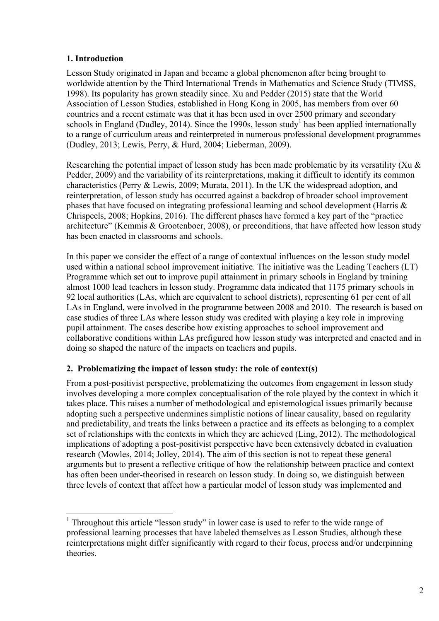# **1. Introduction**

Lesson Study originated in Japan and became a global phenomenon after being brought to worldwide attention by the Third International Trends in Mathematics and Science Study (TIMSS, 1998). Its popularity has grown steadily since. Xu and Pedder (2015) state that the World Association of Lesson Studies, established in Hong Kong in 2005, has members from over 60 countries and a recent estimate was that it has been used in over 2500 primary and secondary schools in England (Dudley, 2014). Since the 1990s, lesson study<sup>1</sup> has been applied internationally to a range of curriculum areas and reinterpreted in numerous professional development programmes (Dudley, 2013; Lewis, Perry, & Hurd, 2004; Lieberman, 2009).

Researching the potential impact of lesson study has been made problematic by its versatility (Xu & Pedder, 2009) and the variability of its reinterpretations, making it difficult to identify its common characteristics (Perry & Lewis, 2009; Murata, 2011). In the UK the widespread adoption, and reinterpretation, of lesson study has occurred against a backdrop of broader school improvement phases that have focused on integrating professional learning and school development (Harris & Chrispeels, 2008; Hopkins, 2016). The different phases have formed a key part of the "practice architecture" (Kemmis & Grootenboer, 2008), or preconditions, that have affected how lesson study has been enacted in classrooms and schools.

In this paper we consider the effect of a range of contextual influences on the lesson study model used within a national school improvement initiative. The initiative was the Leading Teachers (LT) Programme which set out to improve pupil attainment in primary schools in England by training almost 1000 lead teachers in lesson study. Programme data indicated that 1175 primary schools in 92 local authorities (LAs, which are equivalent to school districts), representing 61 per cent of all LAs in England, were involved in the programme between 2008 and 2010. The research is based on case studies of three LAs where lesson study was credited with playing a key role in improving pupil attainment. The cases describe how existing approaches to school improvement and collaborative conditions within LAs prefigured how lesson study was interpreted and enacted and in doing so shaped the nature of the impacts on teachers and pupils.

# **2. Problematizing the impact of lesson study: the role of context(s)**

From a post-positivist perspective, problematizing the outcomes from engagement in lesson study involves developing a more complex conceptualisation of the role played by the context in which it takes place. This raises a number of methodological and epistemological issues primarily because adopting such a perspective undermines simplistic notions of linear causality, based on regularity and predictability, and treats the links between a practice and its effects as belonging to a complex set of relationships with the contexts in which they are achieved (Ling, 2012). The methodological implications of adopting a post-positivist perspective have been extensively debated in evaluation research (Mowles, 2014; Jolley, 2014). The aim of this section is not to repeat these general arguments but to present a reflective critique of how the relationship between practice and context has often been under-theorised in research on lesson study. In doing so, we distinguish between three levels of context that affect how a particular model of lesson study was implemented and

<sup>&</sup>lt;sup>1</sup> Throughout this article "lesson study" in lower case is used to refer to the wide range of professional learning processes that have labeled themselves as Lesson Studies, although these reinterpretations might differ significantly with regard to their focus, process and/or underpinning theories.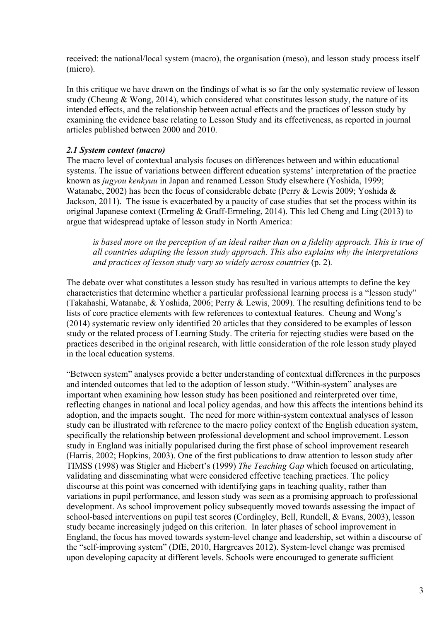received: the national/local system (macro), the organisation (meso), and lesson study process itself (micro).

In this critique we have drawn on the findings of what is so far the only systematic review of lesson study (Cheung & Wong, 2014), which considered what constitutes lesson study, the nature of its intended effects, and the relationship between actual effects and the practices of lesson study by examining the evidence base relating to Lesson Study and its effectiveness, as reported in journal articles published between 2000 and 2010.

#### *2.1 System context (macro)*

The macro level of contextual analysis focuses on differences between and within educational systems. The issue of variations between different education systems' interpretation of the practice known as *jugyou kenkyuu* in Japan and renamed Lesson Study elsewhere (Yoshida, 1999; Watanabe, 2002) has been the focus of considerable debate (Perry & Lewis 2009; Yoshida & Jackson, 2011). The issue is exacerbated by a paucity of case studies that set the process within its original Japanese context (Ermeling & Graff-Ermeling, 2014). This led Cheng and Ling (2013) to argue that widespread uptake of lesson study in North America:

*is based more on the perception of an ideal rather than on a fidelity approach. This is true of all countries adapting the lesson study approach. This also explains why the interpretations and practices of lesson study vary so widely across countries* (p. 2)*.*

The debate over what constitutes a lesson study has resulted in various attempts to define the key characteristics that determine whether a particular professional learning process is a "lesson study" (Takahashi, Watanabe, & Yoshida, 2006; Perry & Lewis, 2009). The resulting definitions tend to be lists of core practice elements with few references to contextual features. Cheung and Wong's (2014) systematic review only identified 20 articles that they considered to be examples of lesson study or the related process of Learning Study. The criteria for rejecting studies were based on the practices described in the original research, with little consideration of the role lesson study played in the local education systems.

"Between system" analyses provide a better understanding of contextual differences in the purposes and intended outcomes that led to the adoption of lesson study. "Within-system" analyses are important when examining how lesson study has been positioned and reinterpreted over time, reflecting changes in national and local policy agendas, and how this affects the intentions behind its adoption, and the impacts sought. The need for more within-system contextual analyses of lesson study can be illustrated with reference to the macro policy context of the English education system, specifically the relationship between professional development and school improvement. Lesson study in England was initially popularised during the first phase of school improvement research (Harris, 2002; Hopkins, 2003). One of the first publications to draw attention to lesson study after TIMSS (1998) was Stigler and Hiebert's (1999) *The Teaching Gap* which focused on articulating, validating and disseminating what were considered effective teaching practices. The policy discourse at this point was concerned with identifying gaps in teaching quality, rather than variations in pupil performance, and lesson study was seen as a promising approach to professional development. As school improvement policy subsequently moved towards assessing the impact of school-based interventions on pupil test scores (Cordingley, Bell, Rundell, & Evans, 2003), lesson study became increasingly judged on this criterion. In later phases of school improvement in England, the focus has moved towards system-level change and leadership, set within a discourse of the "self-improving system" (DfE, 2010, Hargreaves 2012). System-level change was premised upon developing capacity at different levels. Schools were encouraged to generate sufficient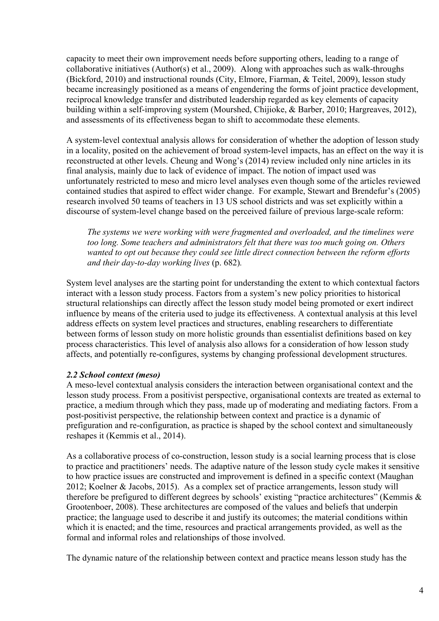capacity to meet their own improvement needs before supporting others, leading to a range of collaborative initiatives (Author(s) et al., 2009). Along with approaches such as walk-throughs (Bickford, 2010) and instructional rounds (City, Elmore, Fiarman, & Teitel, 2009), lesson study became increasingly positioned as a means of engendering the forms of joint practice development, reciprocal knowledge transfer and distributed leadership regarded as key elements of capacity building within a self-improving system (Mourshed, Chijioke, & Barber, 2010; Hargreaves, 2012), and assessments of its effectiveness began to shift to accommodate these elements.

A system-level contextual analysis allows for consideration of whether the adoption of lesson study in a locality, posited on the achievement of broad system-level impacts, has an effect on the way it is reconstructed at other levels. Cheung and Wong's (2014) review included only nine articles in its final analysis, mainly due to lack of evidence of impact. The notion of impact used was unfortunately restricted to meso and micro level analyses even though some of the articles reviewed contained studies that aspired to effect wider change. For example, Stewart and Brendefur's (2005) research involved 50 teams of teachers in 13 US school districts and was set explicitly within a discourse of system-level change based on the perceived failure of previous large-scale reform:

*The systems we were working with were fragmented and overloaded, and the timelines were too long. Some teachers and administrators felt that there was too much going on. Others wanted to opt out because they could see little direct connection between the reform efforts and their day-to-day working lives* (p. 682)*.* 

System level analyses are the starting point for understanding the extent to which contextual factors interact with a lesson study process. Factors from a system's new policy priorities to historical structural relationships can directly affect the lesson study model being promoted or exert indirect influence by means of the criteria used to judge its effectiveness. A contextual analysis at this level address effects on system level practices and structures, enabling researchers to differentiate between forms of lesson study on more holistic grounds than essentialist definitions based on key process characteristics. This level of analysis also allows for a consideration of how lesson study affects, and potentially re-configures, systems by changing professional development structures.

# *2.2 School context (meso)*

A meso-level contextual analysis considers the interaction between organisational context and the lesson study process. From a positivist perspective, organisational contexts are treated as external to practice, a medium through which they pass, made up of moderating and mediating factors. From a post-positivist perspective, the relationship between context and practice is a dynamic of prefiguration and re-configuration, as practice is shaped by the school context and simultaneously reshapes it (Kemmis et al., 2014).

As a collaborative process of co-construction, lesson study is a social learning process that is close to practice and practitioners' needs. The adaptive nature of the lesson study cycle makes it sensitive to how practice issues are constructed and improvement is defined in a specific context (Maughan 2012; Koelner & Jacobs, 2015). As a complex set of practice arrangements, lesson study will therefore be prefigured to different degrees by schools' existing "practice architectures" (Kemmis & Grootenboer, 2008). These architectures are composed of the values and beliefs that underpin practice; the language used to describe it and justify its outcomes; the material conditions within which it is enacted; and the time, resources and practical arrangements provided, as well as the formal and informal roles and relationships of those involved.

The dynamic nature of the relationship between context and practice means lesson study has the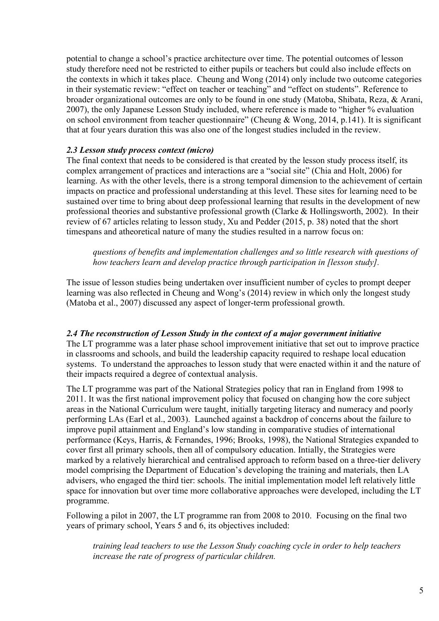potential to change a school's practice architecture over time. The potential outcomes of lesson study therefore need not be restricted to either pupils or teachers but could also include effects on the contexts in which it takes place. Cheung and Wong (2014) only include two outcome categories in their systematic review: "effect on teacher or teaching" and "effect on students". Reference to broader organizational outcomes are only to be found in one study (Matoba, Shibata, Reza, & Arani, 2007), the only Japanese Lesson Study included, where reference is made to "higher % evaluation on school environment from teacher questionnaire" (Cheung & Wong, 2014, p.141). It is significant that at four years duration this was also one of the longest studies included in the review.

#### *2.3 Lesson study process context (micro)*

The final context that needs to be considered is that created by the lesson study process itself, its complex arrangement of practices and interactions are a "social site" (Chia and Holt, 2006) for learning. As with the other levels, there is a strong temporal dimension to the achievement of certain impacts on practice and professional understanding at this level. These sites for learning need to be sustained over time to bring about deep professional learning that results in the development of new professional theories and substantive professional growth (Clarke & Hollingsworth, 2002). In their review of 67 articles relating to lesson study, Xu and Pedder (2015, p. 38) noted that the short timespans and atheoretical nature of many the studies resulted in a narrow focus on:

*questions of benefits and implementation challenges and so little research with questions of how teachers learn and develop practice through participation in [lesson study].* 

The issue of lesson studies being undertaken over insufficient number of cycles to prompt deeper learning was also reflected in Cheung and Wong's (2014) review in which only the longest study (Matoba et al., 2007) discussed any aspect of longer-term professional growth.

# *2.4 The reconstruction of Lesson Study in the context of a major government initiative*

The LT programme was a later phase school improvement initiative that set out to improve practice in classrooms and schools, and build the leadership capacity required to reshape local education systems. To understand the approaches to lesson study that were enacted within it and the nature of their impacts required a degree of contextual analysis.

The LT programme was part of the National Strategies policy that ran in England from 1998 to 2011. It was the first national improvement policy that focused on changing how the core subject areas in the National Curriculum were taught, initially targeting literacy and numeracy and poorly performing LAs (Earl et al., 2003). Launched against a backdrop of concerns about the failure to improve pupil attainment and England's low standing in comparative studies of international performance (Keys, Harris, & Fernandes, 1996; Brooks, 1998), the National Strategies expanded to cover first all primary schools, then all of compulsory education. Intially, the Strategies were marked by a relatively hierarchical and centralised approach to reform based on a three-tier delivery model comprising the Department of Education's developing the training and materials, then LA advisers, who engaged the third tier: schools. The initial implementation model left relatively little space for innovation but over time more collaborative approaches were developed, including the LT programme.

Following a pilot in 2007, the LT programme ran from 2008 to 2010. Focusing on the final two years of primary school, Years 5 and 6, its objectives included:

*training lead teachers to use the Lesson Study coaching cycle in order to help teachers increase the rate of progress of particular children.*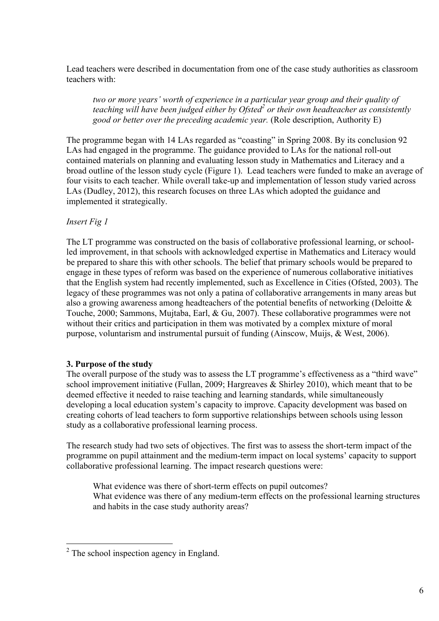Lead teachers were described in documentation from one of the case study authorities as classroom teachers with:

*two or more years' worth of experience in a particular year group and their quality of teaching will have been judged either by Ofsted<sup>2</sup> or their own headteacher as consistently good or better over the preceding academic year.* (Role description, Authority E)

The programme began with 14 LAs regarded as "coasting" in Spring 2008. By its conclusion 92 LAs had engaged in the programme. The guidance provided to LAs for the national roll-out contained materials on planning and evaluating lesson study in Mathematics and Literacy and a broad outline of the lesson study cycle (Figure 1). Lead teachers were funded to make an average of four visits to each teacher. While overall take-up and implementation of lesson study varied across LAs (Dudley, 2012), this research focuses on three LAs which adopted the guidance and implemented it strategically.

# *Insert Fig 1*

The LT programme was constructed on the basis of collaborative professional learning, or schoolled improvement, in that schools with acknowledged expertise in Mathematics and Literacy would be prepared to share this with other schools. The belief that primary schools would be prepared to engage in these types of reform was based on the experience of numerous collaborative initiatives that the English system had recently implemented, such as Excellence in Cities (Ofsted, 2003). The legacy of these programmes was not only a patina of collaborative arrangements in many areas but also a growing awareness among headteachers of the potential benefits of networking (Deloitte & Touche, 2000; Sammons, Mujtaba, Earl, & Gu, 2007). These collaborative programmes were not without their critics and participation in them was motivated by a complex mixture of moral purpose, voluntarism and instrumental pursuit of funding (Ainscow, Muijs, & West, 2006).

# **3. Purpose of the study**

The overall purpose of the study was to assess the LT programme's effectiveness as a "third wave" school improvement initiative (Fullan, 2009; Hargreaves & Shirley 2010), which meant that to be deemed effective it needed to raise teaching and learning standards, while simultaneously developing a local education system's capacity to improve. Capacity development was based on creating cohorts of lead teachers to form supportive relationships between schools using lesson study as a collaborative professional learning process.

The research study had two sets of objectives. The first was to assess the short-term impact of the programme on pupil attainment and the medium-term impact on local systems' capacity to support collaborative professional learning. The impact research questions were:

What evidence was there of short-term effects on pupil outcomes? What evidence was there of any medium-term effects on the professional learning structures and habits in the case study authority areas?

<sup>&</sup>lt;sup>2</sup> The school inspection agency in England.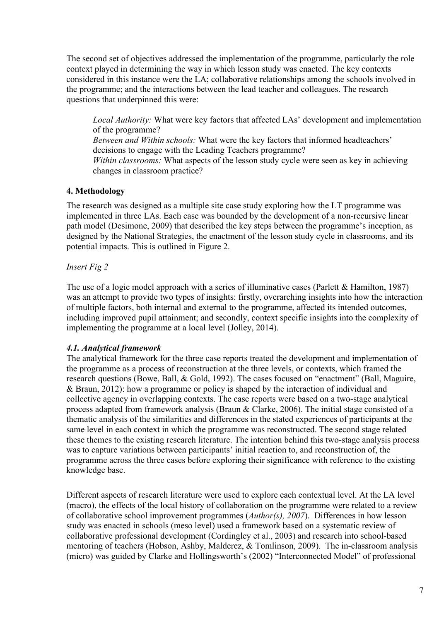The second set of objectives addressed the implementation of the programme, particularly the role context played in determining the way in which lesson study was enacted. The key contexts considered in this instance were the LA; collaborative relationships among the schools involved in the programme; and the interactions between the lead teacher and colleagues. The research questions that underpinned this were:

*Local Authority:* What were key factors that affected LAs' development and implementation of the programme?

*Between and Within schools:* What were the key factors that informed headteachers' decisions to engage with the Leading Teachers programme? *Within classrooms:* What aspects of the lesson study cycle were seen as key in achieving changes in classroom practice?

# **4. Methodology**

The research was designed as a multiple site case study exploring how the LT programme was implemented in three LAs. Each case was bounded by the development of a non-recursive linear path model (Desimone, 2009) that described the key steps between the programme's inception, as designed by the National Strategies, the enactment of the lesson study cycle in classrooms, and its potential impacts. This is outlined in Figure 2.

# *Insert Fig 2*

The use of a logic model approach with a series of illuminative cases (Parlett & Hamilton, 1987) was an attempt to provide two types of insights: firstly, overarching insights into how the interaction of multiple factors, both internal and external to the programme, affected its intended outcomes, including improved pupil attainment; and secondly, context specific insights into the complexity of implementing the programme at a local level (Jolley, 2014).

# *4.1. Analytical framework*

The analytical framework for the three case reports treated the development and implementation of the programme as a process of reconstruction at the three levels, or contexts, which framed the research questions (Bowe, Ball, & Gold, 1992). The cases focused on "enactment" (Ball, Maguire, & Braun, 2012): how a programme or policy is shaped by the interaction of individual and collective agency in overlapping contexts. The case reports were based on a two-stage analytical process adapted from framework analysis (Braun & Clarke, 2006). The initial stage consisted of a thematic analysis of the similarities and differences in the stated experiences of participants at the same level in each context in which the programme was reconstructed. The second stage related these themes to the existing research literature. The intention behind this two-stage analysis process was to capture variations between participants' initial reaction to, and reconstruction of, the programme across the three cases before exploring their significance with reference to the existing knowledge base.

Different aspects of research literature were used to explore each contextual level. At the LA level (macro), the effects of the local history of collaboration on the programme were related to a review of collaborative school improvement programmes (*Author(s), 2007*). Differences in how lesson study was enacted in schools (meso level) used a framework based on a systematic review of collaborative professional development (Cordingley et al., 2003) and research into school-based mentoring of teachers (Hobson, Ashby, Malderez, & Tomlinson, 2009). The in-classroom analysis (micro) was guided by Clarke and Hollingsworth's (2002) "Interconnected Model" of professional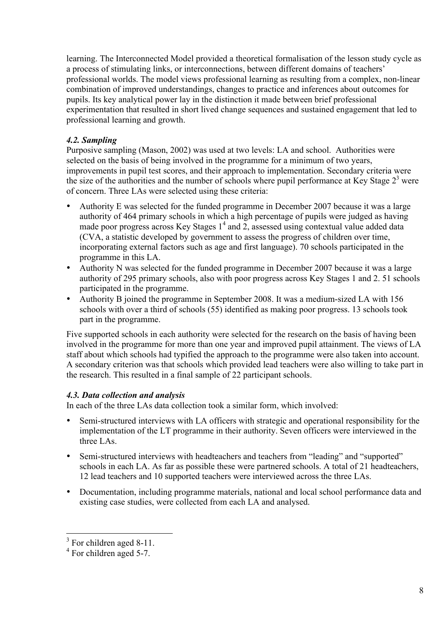learning. The Interconnected Model provided a theoretical formalisation of the lesson study cycle as a process of stimulating links, or interconnections, between different domains of teachers' professional worlds. The model views professional learning as resulting from a complex, non-linear combination of improved understandings, changes to practice and inferences about outcomes for pupils. Its key analytical power lay in the distinction it made between brief professional experimentation that resulted in short lived change sequences and sustained engagement that led to professional learning and growth.

# *4.2. Sampling*

Purposive sampling (Mason, 2002) was used at two levels: LA and school. Authorities were selected on the basis of being involved in the programme for a minimum of two years, improvements in pupil test scores, and their approach to implementation. Secondary criteria were the size of the authorities and the number of schools where pupil performance at Key Stage  $2<sup>3</sup>$  were of concern. Three LAs were selected using these criteria:

- Authority E was selected for the funded programme in December 2007 because it was a large authority of 464 primary schools in which a high percentage of pupils were judged as having made poor progress across Key Stages  $1<sup>4</sup>$  and 2, assessed using contextual value added data (CVA, a statistic developed by government to assess the progress of children over time, incorporating external factors such as age and first language). 70 schools participated in the programme in this LA.
- Authority N was selected for the funded programme in December 2007 because it was a large authority of 295 primary schools, also with poor progress across Key Stages 1 and 2. 51 schools participated in the programme.
- Authority B joined the programme in September 2008. It was a medium-sized LA with 156 schools with over a third of schools (55) identified as making poor progress. 13 schools took part in the programme.

Five supported schools in each authority were selected for the research on the basis of having been involved in the programme for more than one year and improved pupil attainment. The views of LA staff about which schools had typified the approach to the programme were also taken into account. A secondary criterion was that schools which provided lead teachers were also willing to take part in the research. This resulted in a final sample of 22 participant schools.

# *4.3. Data collection and analysis*

In each of the three LAs data collection took a similar form, which involved:

- Semi-structured interviews with LA officers with strategic and operational responsibility for the implementation of the LT programme in their authority. Seven officers were interviewed in the three LAs.
- Semi-structured interviews with headteachers and teachers from "leading" and "supported" schools in each LA. As far as possible these were partnered schools. A total of 21 headteachers, 12 lead teachers and 10 supported teachers were interviewed across the three LAs.
- Documentation, including programme materials, national and local school performance data and existing case studies, were collected from each LA and analysed.

<sup>&</sup>lt;sup>3</sup> For children aged 8-11.

<sup>4</sup> For children aged 5-7.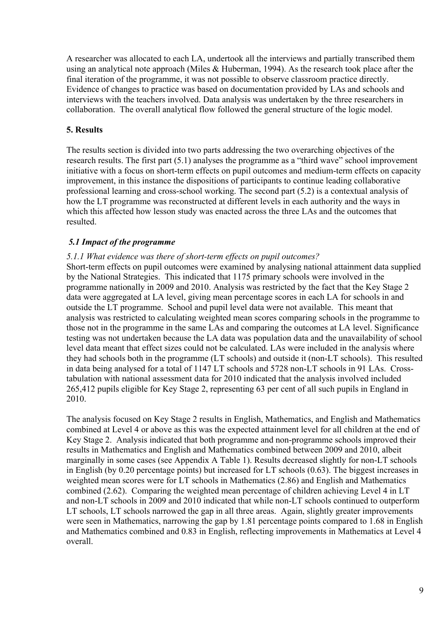A researcher was allocated to each LA, undertook all the interviews and partially transcribed them using an analytical note approach (Miles & Huberman, 1994). As the research took place after the final iteration of the programme, it was not possible to observe classroom practice directly. Evidence of changes to practice was based on documentation provided by LAs and schools and interviews with the teachers involved. Data analysis was undertaken by the three researchers in collaboration. The overall analytical flow followed the general structure of the logic model.

# **5. Results**

The results section is divided into two parts addressing the two overarching objectives of the research results. The first part (5.1) analyses the programme as a "third wave" school improvement initiative with a focus on short-term effects on pupil outcomes and medium-term effects on capacity improvement, in this instance the dispositions of participants to continue leading collaborative professional learning and cross-school working. The second part (5.2) is a contextual analysis of how the LT programme was reconstructed at different levels in each authority and the ways in which this affected how lesson study was enacted across the three LAs and the outcomes that resulted.

# *5.1 Impact of the programme*

# *5.1.1 What evidence was there of short-term effects on pupil outcomes?*

Short-term effects on pupil outcomes were examined by analysing national attainment data supplied by the National Strategies. This indicated that 1175 primary schools were involved in the programme nationally in 2009 and 2010. Analysis was restricted by the fact that the Key Stage 2 data were aggregated at LA level, giving mean percentage scores in each LA for schools in and outside the LT programme. School and pupil level data were not available. This meant that analysis was restricted to calculating weighted mean scores comparing schools in the programme to those not in the programme in the same LAs and comparing the outcomes at LA level. Significance testing was not undertaken because the LA data was population data and the unavailability of school level data meant that effect sizes could not be calculated. LAs were included in the analysis where they had schools both in the programme (LT schools) and outside it (non-LT schools). This resulted in data being analysed for a total of 1147 LT schools and 5728 non-LT schools in 91 LAs. Crosstabulation with national assessment data for 2010 indicated that the analysis involved included 265,412 pupils eligible for Key Stage 2, representing 63 per cent of all such pupils in England in 2010.

The analysis focused on Key Stage 2 results in English, Mathematics, and English and Mathematics combined at Level 4 or above as this was the expected attainment level for all children at the end of Key Stage 2. Analysis indicated that both programme and non-programme schools improved their results in Mathematics and English and Mathematics combined between 2009 and 2010, albeit marginally in some cases (see Appendix A Table 1). Results decreased slightly for non-LT schools in English (by 0.20 percentage points) but increased for LT schools (0.63). The biggest increases in weighted mean scores were for LT schools in Mathematics (2.86) and English and Mathematics combined (2.62). Comparing the weighted mean percentage of children achieving Level 4 in LT and non-LT schools in 2009 and 2010 indicated that while non-LT schools continued to outperform LT schools, LT schools narrowed the gap in all three areas. Again, slightly greater improvements were seen in Mathematics, narrowing the gap by 1.81 percentage points compared to 1.68 in English and Mathematics combined and 0.83 in English, reflecting improvements in Mathematics at Level 4 overall.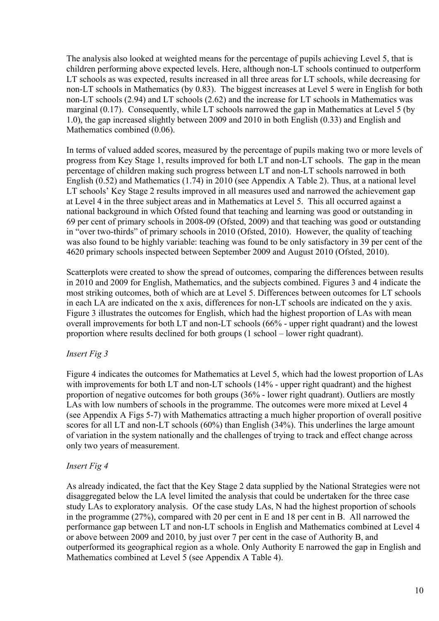The analysis also looked at weighted means for the percentage of pupils achieving Level 5, that is children performing above expected levels. Here, although non-LT schools continued to outperform LT schools as was expected, results increased in all three areas for LT schools, while decreasing for non-LT schools in Mathematics (by 0.83). The biggest increases at Level 5 were in English for both non-LT schools (2.94) and LT schools (2.62) and the increase for LT schools in Mathematics was marginal  $(0.17)$ . Consequently, while LT schools narrowed the gap in Mathematics at Level 5 (by 1.0), the gap increased slightly between 2009 and 2010 in both English (0.33) and English and Mathematics combined (0.06).

In terms of valued added scores, measured by the percentage of pupils making two or more levels of progress from Key Stage 1, results improved for both LT and non-LT schools. The gap in the mean percentage of children making such progress between LT and non-LT schools narrowed in both English (0.52) and Mathematics (1.74) in 2010 (see Appendix A Table 2). Thus, at a national level LT schools' Key Stage 2 results improved in all measures used and narrowed the achievement gap at Level 4 in the three subject areas and in Mathematics at Level 5. This all occurred against a national background in which Ofsted found that teaching and learning was good or outstanding in 69 per cent of primary schools in 2008-09 (Ofsted, 2009) and that teaching was good or outstanding in "over two-thirds" of primary schools in 2010 (Ofsted, 2010). However, the quality of teaching was also found to be highly variable: teaching was found to be only satisfactory in 39 per cent of the 4620 primary schools inspected between September 2009 and August 2010 (Ofsted, 2010).

Scatterplots were created to show the spread of outcomes, comparing the differences between results in 2010 and 2009 for English, Mathematics, and the subjects combined. Figures 3 and 4 indicate the most striking outcomes, both of which are at Level 5. Differences between outcomes for LT schools in each LA are indicated on the x axis, differences for non-LT schools are indicated on the y axis. Figure 3 illustrates the outcomes for English, which had the highest proportion of LAs with mean overall improvements for both LT and non-LT schools (66% - upper right quadrant) and the lowest proportion where results declined for both groups (1 school – lower right quadrant).

# *Insert Fig 3*

Figure 4 indicates the outcomes for Mathematics at Level 5, which had the lowest proportion of LAs with improvements for both LT and non-LT schools (14% - upper right quadrant) and the highest proportion of negative outcomes for both groups (36% - lower right quadrant). Outliers are mostly LAs with low numbers of schools in the programme. The outcomes were more mixed at Level 4 (see Appendix A Figs 5-7) with Mathematics attracting a much higher proportion of overall positive scores for all LT and non-LT schools (60%) than English (34%). This underlines the large amount of variation in the system nationally and the challenges of trying to track and effect change across only two years of measurement.

# *Insert Fig 4*

As already indicated, the fact that the Key Stage 2 data supplied by the National Strategies were not disaggregated below the LA level limited the analysis that could be undertaken for the three case study LAs to exploratory analysis. Of the case study LAs, N had the highest proportion of schools in the programme (27%), compared with 20 per cent in E and 18 per cent in B. All narrowed the performance gap between LT and non-LT schools in English and Mathematics combined at Level 4 or above between 2009 and 2010, by just over 7 per cent in the case of Authority B, and outperformed its geographical region as a whole. Only Authority E narrowed the gap in English and Mathematics combined at Level 5 (see Appendix A Table 4).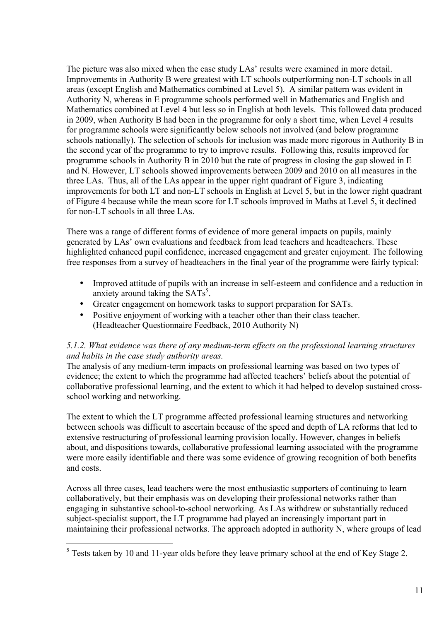The picture was also mixed when the case study LAs' results were examined in more detail. Improvements in Authority B were greatest with LT schools outperforming non-LT schools in all areas (except English and Mathematics combined at Level 5). A similar pattern was evident in Authority N, whereas in E programme schools performed well in Mathematics and English and Mathematics combined at Level 4 but less so in English at both levels. This followed data produced in 2009, when Authority B had been in the programme for only a short time, when Level 4 results for programme schools were significantly below schools not involved (and below programme schools nationally). The selection of schools for inclusion was made more rigorous in Authority B in the second year of the programme to try to improve results. Following this, results improved for programme schools in Authority B in 2010 but the rate of progress in closing the gap slowed in E and N. However, LT schools showed improvements between 2009 and 2010 on all measures in the three LAs. Thus, all of the LAs appear in the upper right quadrant of Figure 3, indicating improvements for both LT and non-LT schools in English at Level 5, but in the lower right quadrant of Figure 4 because while the mean score for LT schools improved in Maths at Level 5, it declined for non-LT schools in all three LAs.

There was a range of different forms of evidence of more general impacts on pupils, mainly generated by LAs' own evaluations and feedback from lead teachers and headteachers. These highlighted enhanced pupil confidence, increased engagement and greater enjoyment. The following free responses from a survey of headteachers in the final year of the programme were fairly typical:

- Improved attitude of pupils with an increase in self-esteem and confidence and a reduction in anxiety around taking the  $SATs^5$ .
- Greater engagement on homework tasks to support preparation for SATs.
- Positive enjoyment of working with a teacher other than their class teacher. (Headteacher Questionnaire Feedback, 2010 Authority N)

# *5.1.2. What evidence was there of any medium-term effects on the professional learning structures and habits in the case study authority areas.*

The analysis of any medium-term impacts on professional learning was based on two types of evidence; the extent to which the programme had affected teachers' beliefs about the potential of collaborative professional learning, and the extent to which it had helped to develop sustained crossschool working and networking.

The extent to which the LT programme affected professional learning structures and networking between schools was difficult to ascertain because of the speed and depth of LA reforms that led to extensive restructuring of professional learning provision locally. However, changes in beliefs about, and dispositions towards, collaborative professional learning associated with the programme were more easily identifiable and there was some evidence of growing recognition of both benefits and costs.

Across all three cases, lead teachers were the most enthusiastic supporters of continuing to learn collaboratively, but their emphasis was on developing their professional networks rather than engaging in substantive school-to-school networking. As LAs withdrew or substantially reduced subject-specialist support, the LT programme had played an increasingly important part in maintaining their professional networks. The approach adopted in authority N, where groups of lead

<sup>&</sup>lt;sup>5</sup> Tests taken by 10 and 11-year olds before they leave primary school at the end of Key Stage 2.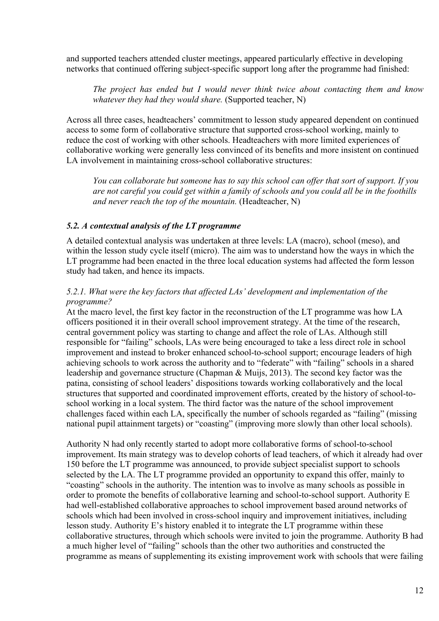and supported teachers attended cluster meetings, appeared particularly effective in developing networks that continued offering subject-specific support long after the programme had finished:

*The project has ended but I would never think twice about contacting them and know whatever they had they would share.* (Supported teacher, N)

Across all three cases, headteachers' commitment to lesson study appeared dependent on continued access to some form of collaborative structure that supported cross-school working, mainly to reduce the cost of working with other schools. Headteachers with more limited experiences of collaborative working were generally less convinced of its benefits and more insistent on continued LA involvement in maintaining cross-school collaborative structures:

*You can collaborate but someone has to say this school can offer that sort of support. If you are not careful you could get within a family of schools and you could all be in the foothills and never reach the top of the mountain.* (Headteacher, N)

#### *5.2. A contextual analysis of the LT programme*

A detailed contextual analysis was undertaken at three levels: LA (macro), school (meso), and within the lesson study cycle itself (micro). The aim was to understand how the ways in which the LT programme had been enacted in the three local education systems had affected the form lesson study had taken, and hence its impacts.

# *5.2.1. What were the key factors that affected LAs' development and implementation of the programme?*

At the macro level, the first key factor in the reconstruction of the LT programme was how LA officers positioned it in their overall school improvement strategy. At the time of the research, central government policy was starting to change and affect the role of LAs. Although still responsible for "failing" schools, LAs were being encouraged to take a less direct role in school improvement and instead to broker enhanced school-to-school support; encourage leaders of high achieving schools to work across the authority and to "federate" with "failing" schools in a shared leadership and governance structure (Chapman & Muijs, 2013). The second key factor was the patina, consisting of school leaders' dispositions towards working collaboratively and the local structures that supported and coordinated improvement efforts, created by the history of school-toschool working in a local system. The third factor was the nature of the school improvement challenges faced within each LA, specifically the number of schools regarded as "failing" (missing national pupil attainment targets) or "coasting" (improving more slowly than other local schools).

Authority N had only recently started to adopt more collaborative forms of school-to-school improvement. Its main strategy was to develop cohorts of lead teachers, of which it already had over 150 before the LT programme was announced, to provide subject specialist support to schools selected by the LA. The LT programme provided an opportunity to expand this offer, mainly to "coasting" schools in the authority. The intention was to involve as many schools as possible in order to promote the benefits of collaborative learning and school-to-school support. Authority E had well-established collaborative approaches to school improvement based around networks of schools which had been involved in cross-school inquiry and improvement initiatives, including lesson study. Authority E's history enabled it to integrate the LT programme within these collaborative structures, through which schools were invited to join the programme. Authority B had a much higher level of "failing" schools than the other two authorities and constructed the programme as means of supplementing its existing improvement work with schools that were failing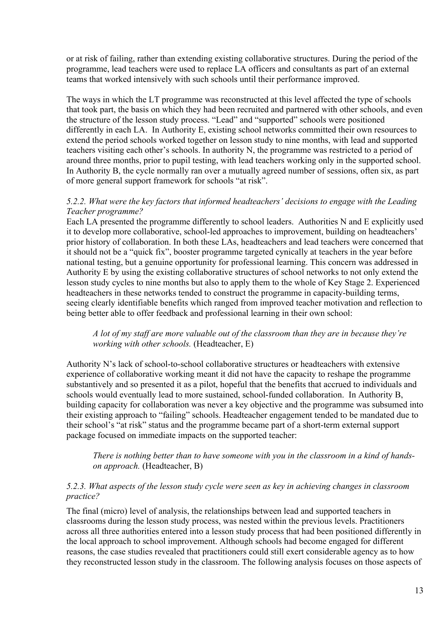or at risk of failing, rather than extending existing collaborative structures. During the period of the programme, lead teachers were used to replace LA officers and consultants as part of an external teams that worked intensively with such schools until their performance improved.

The ways in which the LT programme was reconstructed at this level affected the type of schools that took part, the basis on which they had been recruited and partnered with other schools, and even the structure of the lesson study process. "Lead" and "supported" schools were positioned differently in each LA. In Authority E, existing school networks committed their own resources to extend the period schools worked together on lesson study to nine months, with lead and supported teachers visiting each other's schools. In authority N, the programme was restricted to a period of around three months, prior to pupil testing, with lead teachers working only in the supported school. In Authority B, the cycle normally ran over a mutually agreed number of sessions, often six, as part of more general support framework for schools "at risk".

#### *5.2.2. What were the key factors that informed headteachers' decisions to engage with the Leading Teacher programme?*

Each LA presented the programme differently to school leaders. Authorities N and E explicitly used it to develop more collaborative, school-led approaches to improvement, building on headteachers' prior history of collaboration. In both these LAs, headteachers and lead teachers were concerned that it should not be a "quick fix", booster programme targeted cynically at teachers in the year before national testing, but a genuine opportunity for professional learning. This concern was addressed in Authority E by using the existing collaborative structures of school networks to not only extend the lesson study cycles to nine months but also to apply them to the whole of Key Stage 2. Experienced headteachers in these networks tended to construct the programme in capacity-building terms, seeing clearly identifiable benefits which ranged from improved teacher motivation and reflection to being better able to offer feedback and professional learning in their own school:

#### *A lot of my staff are more valuable out of the classroom than they are in because they're working with other schools.* (Headteacher, E)

Authority N's lack of school-to-school collaborative structures or headteachers with extensive experience of collaborative working meant it did not have the capacity to reshape the programme substantively and so presented it as a pilot, hopeful that the benefits that accrued to individuals and schools would eventually lead to more sustained, school-funded collaboration. In Authority B, building capacity for collaboration was never a key objective and the programme was subsumed into their existing approach to "failing" schools. Headteacher engagement tended to be mandated due to their school's "at risk" status and the programme became part of a short-term external support package focused on immediate impacts on the supported teacher:

*There is nothing better than to have someone with you in the classroom in a kind of handson approach.* (Headteacher, B)

#### *5.2.3. What aspects of the lesson study cycle were seen as key in achieving changes in classroom practice?*

The final (micro) level of analysis, the relationships between lead and supported teachers in classrooms during the lesson study process, was nested within the previous levels. Practitioners across all three authorities entered into a lesson study process that had been positioned differently in the local approach to school improvement. Although schools had become engaged for different reasons, the case studies revealed that practitioners could still exert considerable agency as to how they reconstructed lesson study in the classroom. The following analysis focuses on those aspects of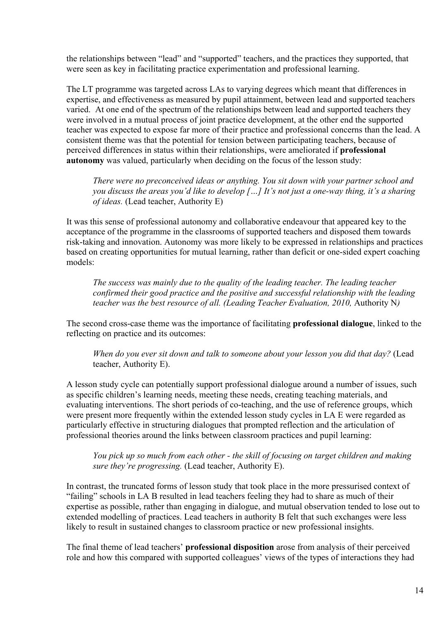the relationships between "lead" and "supported" teachers, and the practices they supported, that were seen as key in facilitating practice experimentation and professional learning.

The LT programme was targeted across LAs to varying degrees which meant that differences in expertise, and effectiveness as measured by pupil attainment, between lead and supported teachers varied. At one end of the spectrum of the relationships between lead and supported teachers they were involved in a mutual process of joint practice development, at the other end the supported teacher was expected to expose far more of their practice and professional concerns than the lead. A consistent theme was that the potential for tension between participating teachers, because of perceived differences in status within their relationships, were ameliorated if **professional autonomy** was valued, particularly when deciding on the focus of the lesson study:

*There were no preconceived ideas or anything. You sit down with your partner school and you discuss the areas you'd like to develop […] It's not just a one-way thing, it's a sharing of ideas.* (Lead teacher, Authority E)

It was this sense of professional autonomy and collaborative endeavour that appeared key to the acceptance of the programme in the classrooms of supported teachers and disposed them towards risk-taking and innovation. Autonomy was more likely to be expressed in relationships and practices based on creating opportunities for mutual learning, rather than deficit or one-sided expert coaching models:

*The success was mainly due to the quality of the leading teacher. The leading teacher confirmed their good practice and the positive and successful relationship with the leading teacher was the best resource of all. (Leading Teacher Evaluation, 2010, Authority N)* 

The second cross-case theme was the importance of facilitating **professional dialogue**, linked to the reflecting on practice and its outcomes:

*When do you ever sit down and talk to someone about your lesson you did that day?* (Lead teacher, Authority E).

A lesson study cycle can potentially support professional dialogue around a number of issues, such as specific children's learning needs, meeting these needs, creating teaching materials, and evaluating interventions. The short periods of co-teaching, and the use of reference groups, which were present more frequently within the extended lesson study cycles in LA E were regarded as particularly effective in structuring dialogues that prompted reflection and the articulation of professional theories around the links between classroom practices and pupil learning:

*You pick up so much from each other - the skill of focusing on target children and making sure they're progressing.* (Lead teacher, Authority E).

In contrast, the truncated forms of lesson study that took place in the more pressurised context of "failing" schools in LA B resulted in lead teachers feeling they had to share as much of their expertise as possible, rather than engaging in dialogue, and mutual observation tended to lose out to extended modelling of practices. Lead teachers in authority B felt that such exchanges were less likely to result in sustained changes to classroom practice or new professional insights.

The final theme of lead teachers' **professional disposition** arose from analysis of their perceived role and how this compared with supported colleagues' views of the types of interactions they had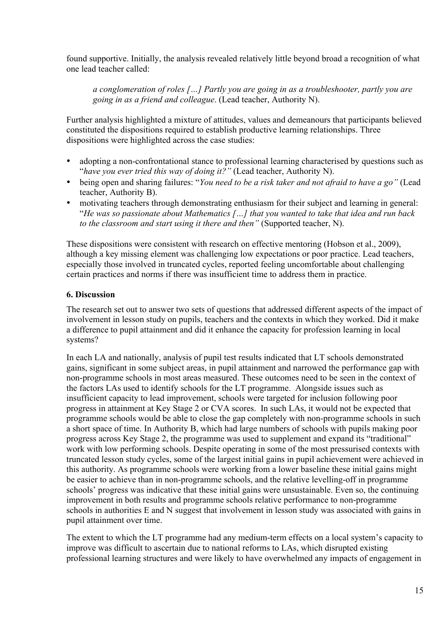found supportive. Initially, the analysis revealed relatively little beyond broad a recognition of what one lead teacher called:

*a conglomeration of roles […] Partly you are going in as a troubleshooter, partly you are going in as a friend and colleague*. (Lead teacher, Authority N).

Further analysis highlighted a mixture of attitudes, values and demeanours that participants believed constituted the dispositions required to establish productive learning relationships. Three dispositions were highlighted across the case studies:

- adopting a non-confrontational stance to professional learning characterised by questions such as "*have you ever tried this way of doing it?"* (Lead teacher, Authority N).
- being open and sharing failures: "*You need to be a risk taker and not afraid to have a go"* (Lead teacher, Authority B).
- motivating teachers through demonstrating enthusiasm for their subject and learning in general: "*He was so passionate about Mathematics […] that you wanted to take that idea and run back to the classroom and start using it there and then"* (Supported teacher, N).

These dispositions were consistent with research on effective mentoring (Hobson et al., 2009), although a key missing element was challenging low expectations or poor practice. Lead teachers, especially those involved in truncated cycles, reported feeling uncomfortable about challenging certain practices and norms if there was insufficient time to address them in practice.

# **6. Discussion**

The research set out to answer two sets of questions that addressed different aspects of the impact of involvement in lesson study on pupils, teachers and the contexts in which they worked. Did it make a difference to pupil attainment and did it enhance the capacity for profession learning in local systems?

In each LA and nationally, analysis of pupil test results indicated that LT schools demonstrated gains, significant in some subject areas, in pupil attainment and narrowed the performance gap with non-programme schools in most areas measured. These outcomes need to be seen in the context of the factors LAs used to identify schools for the LT programme. Alongside issues such as insufficient capacity to lead improvement, schools were targeted for inclusion following poor progress in attainment at Key Stage 2 or CVA scores. In such LAs, it would not be expected that programme schools would be able to close the gap completely with non-programme schools in such a short space of time. In Authority B, which had large numbers of schools with pupils making poor progress across Key Stage 2, the programme was used to supplement and expand its "traditional" work with low performing schools. Despite operating in some of the most pressurised contexts with truncated lesson study cycles, some of the largest initial gains in pupil achievement were achieved in this authority. As programme schools were working from a lower baseline these initial gains might be easier to achieve than in non-programme schools, and the relative levelling-off in programme schools' progress was indicative that these initial gains were unsustainable. Even so, the continuing improvement in both results and programme schools relative performance to non-programme schools in authorities E and N suggest that involvement in lesson study was associated with gains in pupil attainment over time.

The extent to which the LT programme had any medium-term effects on a local system's capacity to improve was difficult to ascertain due to national reforms to LAs, which disrupted existing professional learning structures and were likely to have overwhelmed any impacts of engagement in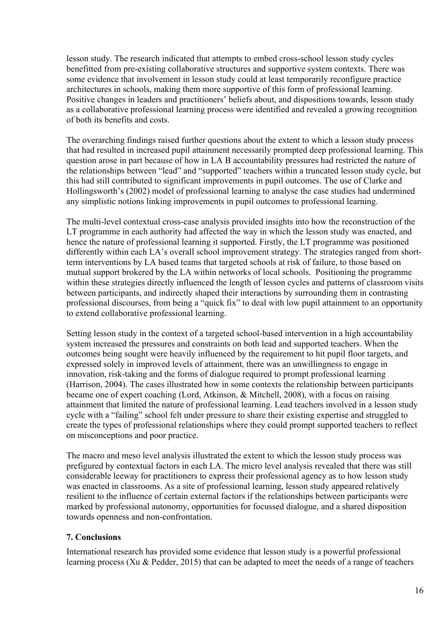lesson study. The research indicated that attempts to embed cross-school lesson study cycles benefitted from pre-existing collaborative structures and supportive system contexts. There was some evidence that involvement in lesson study could at least temporarily reconfigure practice architectures in schools, making them more supportive of this form of professional learning. Positive changes in leaders and practitioners' beliefs about, and dispositions towards, lesson study as a collaborative professional learning process were identified and revealed a growing recognition of both its benefits and costs.

The overarching findings raised further questions about the extent to which a lesson study process that had resulted in increased pupil attainment necessarily prompted deep professional learning. This question arose in part because of how in LA B accountability pressures had restricted the nature of the relationships between "lead" and "supported" teachers within a truncated lesson study cycle, but this had still contributed to significant improvements in pupil outcomes. The use of Clarke and Hollingsworth's (2002) model of professional learning to analyse the case studies had undermined any simplistic notions linking improvements in pupil outcomes to professional learning.

The multi-level contextual cross-case analysis provided insights into how the reconstruction of the LT programme in each authority had affected the way in which the lesson study was enacted, and hence the nature of professional learning it supported. Firstly, the LT programme was positioned differently within each LA's overall school improvement strategy. The strategies ranged from shortterm interventions by LA based teams that targeted schools at risk of failure, to those based on mutual support brokered by the LA within networks of local schools. Positioning the programme within these strategies directly influenced the length of lesson cycles and patterns of classroom visits between participants, and indirectly shaped their interactions by surrounding them in contrasting professional discourses, from being a "quick fix" to deal with low pupil attainment to an opportunity to extend collaborative professional learning.

Setting lesson study in the context of a targeted school-based intervention in a high accountability system increased the pressures and constraints on both lead and supported teachers. When the outcomes being sought were heavily influenced by the requirement to hit pupil floor targets, and expressed solely in improved levels of attainment, there was an unwillingness to engage in innovation, risk-taking and the forms of dialogue required to prompt professional learning (Harrison, 2004). The cases illustrated how in some contexts the relationship between participants became one of expert coaching (Lord, Atkinson, & Mitchell, 2008), with a focus on raising attainment that limited the nature of professional learning. Lead teachers involved in a lesson study cycle with a "failing" school felt under pressure to share their existing expertise and struggled to create the types of professional relationships where they could prompt supported teachers to reflect on misconceptions and poor practice.

The macro and meso level analysis illustrated the extent to which the lesson study process was prefigured by contextual factors in each LA. The micro level analysis revealed that there was still considerable leeway for practitioners to express their professional agency as to how lesson study was enacted in classrooms. As a site of professional learning, lesson study appeared relatively resilient to the influence of certain external factors if the relationships between participants were marked by professional autonomy, opportunities for focussed dialogue, and a shared disposition towards openness and non-confrontation.

# **7. Conclusions**

International research has provided some evidence that lesson study is a powerful professional learning process (Xu & Pedder, 2015) that can be adapted to meet the needs of a range of teachers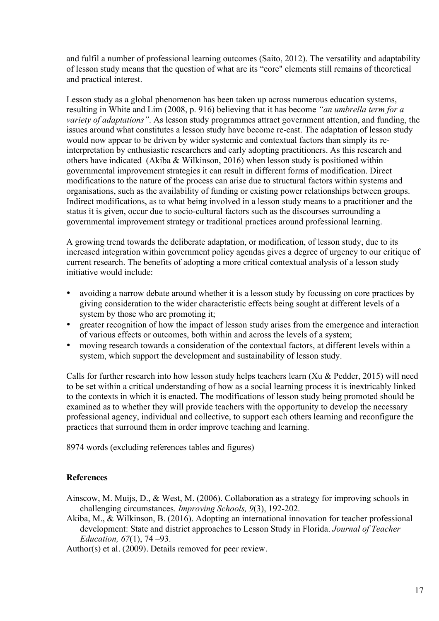and fulfil a number of professional learning outcomes (Saito, 2012). The versatility and adaptability of lesson study means that the question of what are its "core" elements still remains of theoretical and practical interest.

Lesson study as a global phenomenon has been taken up across numerous education systems, resulting in White and Lim (2008, p. 916) believing that it has become *"an umbrella term for a variety of adaptations"*. As lesson study programmes attract government attention, and funding, the issues around what constitutes a lesson study have become re-cast. The adaptation of lesson study would now appear to be driven by wider systemic and contextual factors than simply its reinterpretation by enthusiastic researchers and early adopting practitioners. As this research and others have indicated (Akiba & Wilkinson, 2016) when lesson study is positioned within governmental improvement strategies it can result in different forms of modification. Direct modifications to the nature of the process can arise due to structural factors within systems and organisations, such as the availability of funding or existing power relationships between groups. Indirect modifications, as to what being involved in a lesson study means to a practitioner and the status it is given, occur due to socio-cultural factors such as the discourses surrounding a governmental improvement strategy or traditional practices around professional learning.

A growing trend towards the deliberate adaptation, or modification, of lesson study, due to its increased integration within government policy agendas gives a degree of urgency to our critique of current research. The benefits of adopting a more critical contextual analysis of a lesson study initiative would include:

- avoiding a narrow debate around whether it is a lesson study by focussing on core practices by giving consideration to the wider characteristic effects being sought at different levels of a system by those who are promoting it;
- greater recognition of how the impact of lesson study arises from the emergence and interaction of various effects or outcomes, both within and across the levels of a system;
- moving research towards a consideration of the contextual factors, at different levels within a system, which support the development and sustainability of lesson study.

Calls for further research into how lesson study helps teachers learn (Xu & Pedder, 2015) will need to be set within a critical understanding of how as a social learning process it is inextricably linked to the contexts in which it is enacted. The modifications of lesson study being promoted should be examined as to whether they will provide teachers with the opportunity to develop the necessary professional agency, individual and collective, to support each others learning and reconfigure the practices that surround them in order improve teaching and learning.

8974 words (excluding references tables and figures)

#### **References**

Ainscow, M. Muijs, D., & West, M. (2006). Collaboration as a strategy for improving schools in challenging circumstances. *Improving Schools, 9*(3), 192-202.

Akiba, M., & Wilkinson, B. (2016). Adopting an international innovation for teacher professional development: State and district approaches to Lesson Study in Florida. *Journal of Teacher Education, 67*(1), 74 –93.

Author(s) et al. (2009). Details removed for peer review.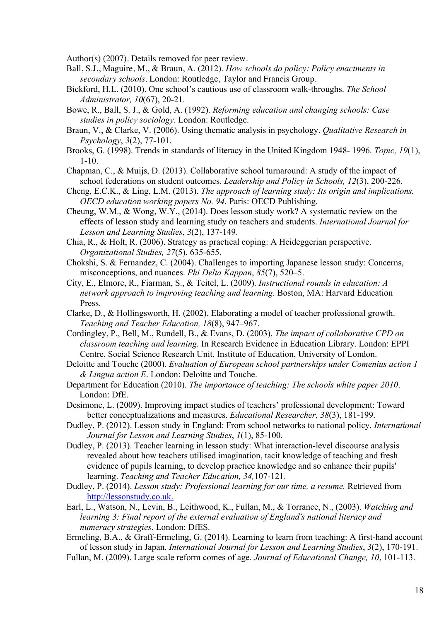Author(s) (2007). Details removed for peer review.

- Ball, S.J., Maguire, M., & Braun, A. (2012). *How schools do policy: Policy enactments in secondary schools.* London: Routledge, Taylor and Francis Group.
- Bickford, H.L. (2010). One school's cautious use of classroom walk-throughs. *The School Administrator, 10*(67), 20-21.
- Bowe, R., Ball, S. J., & Gold, A. (1992). *Reforming education and changing schools: Case studies in policy sociology*. London: Routledge.
- Braun, V., & Clarke, V. (2006). Using thematic analysis in psychology. *Qualitative Research in Psychology*, *3*(2), 77-101.
- Brooks, G. (1998). Trends in standards of literacy in the United Kingdom 1948- 1996. *Topic, 19*(1), 1-10.
- Chapman, C., & Muijs, D. (2013). Collaborative school turnaround: A study of the impact of school federations on student outcomes. *Leadership and Policy in Schools, 12*(3), 200-226.
- Cheng, E.C.K., & Ling, L.M. (2013). *The approach of learning study: Its origin and implications. OECD education working papers No. 94*. Paris: OECD Publishing.
- Cheung, W.M., & Wong, W.Y., (2014). Does lesson study work? A systematic review on the effects of lesson study and learning study on teachers and students. *International Journal for Lesson and Learning Studies*, *3*(2), 137-149.
- Chia, R., & Holt, R. (2006). Strategy as practical coping: A Heideggerian perspective. *Organizational Studies, 27*(5), 635-655.
- Chokshi, S. & Fernandez, C. (2004). Challenges to importing Japanese lesson study: Concerns, misconceptions, and nuances. *Phi Delta Kappan*, *85*(7), 520–5.
- City, E., Elmore, R., Fiarman, S., & Teitel, L. (2009). *Instructional rounds in education: A network approach to improving teaching and learning*. Boston, MA: Harvard Education Press.
- Clarke, D., & Hollingsworth, H. (2002). Elaborating a model of teacher professional growth. *Teaching and Teacher Education, 18*(8), 947–967.
- Cordingley, P., Bell, M., Rundell, B., & Evans, D. (2003). *The impact of collaborative CPD on classroom teaching and learning.* In Research Evidence in Education Library. London: EPPI Centre, Social Science Research Unit, Institute of Education, University of London.
- Deloitte and Touche (2000). *Evaluation of European school partnerships under Comenius action 1 & Lingua action E*. London: Deloitte and Touche.
- Department for Education (2010). *The importance of teaching: The schools white paper 2010*. London: DfE.
- Desimone, L. (2009). Improving impact studies of teachers' professional development: Toward better conceptualizations and measures. *Educational Researcher, 38*(3), 181-199.
- Dudley, P. (2012). Lesson study in England: From school networks to national policy. *International Journal for Lesson and Learning Studies*, *1*(1), 85-100.
- Dudley, P. (2013). Teacher learning in lesson study: What interaction-level discourse analysis revealed about how teachers utilised imagination, tacit knowledge of teaching and fresh evidence of pupils learning, to develop practice knowledge and so enhance their pupils' learning. *Teaching and Teacher Education, 34,*107-121.
- Dudley, P. (2014). *Lesson study: Professional learning for our time, a resume.* Retrieved from http://lessonstudy.co.uk.
- Earl, L., Watson, N., Levin, B., Leithwood, K., Fullan, M., & Torrance, N., (2003). *Watching and learning 3: Final report of the external evaluation of England's national literacy and numeracy strategies*. London: DfES.
- Ermeling, B.A., & Graff-Ermeling, G. (2014). Learning to learn from teaching: A first-hand account of lesson study in Japan. *International Journal for Lesson and Learning Studies*, *3*(2), 170-191.
- Fullan, M. (2009). Large scale reform comes of age. *Journal of Educational Change, 10*, 101-113.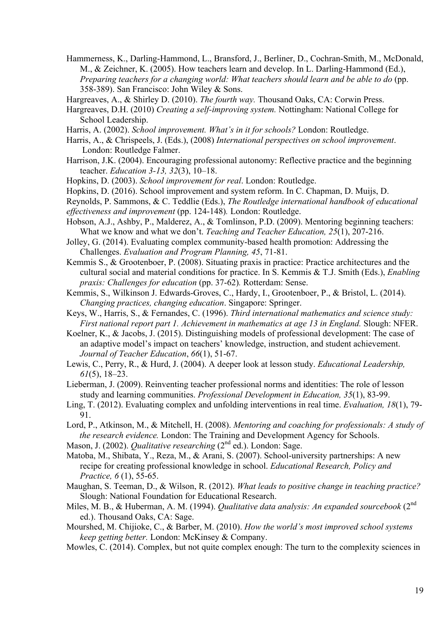- Hammerness, K., Darling-Hammond, L., Bransford, J., Berliner, D., Cochran-Smith, M., McDonald, M., & Zeichner, K. (2005). How teachers learn and develop. In L. Darling-Hammond (Ed.), *Preparing teachers for a changing world: What teachers should learn and be able to do* (pp. 358-389). San Francisco: John Wiley & Sons.
- Hargreaves, A., & Shirley D. (2010). *The fourth way.* Thousand Oaks, CA: Corwin Press.
- Hargreaves, D.H. (2010) *Creating a self-improving system.* Nottingham: National College for School Leadership.
- Harris, A. (2002). *School improvement. What's in it for schools?* London: Routledge.
- Harris, A., & Chrispeels, J. (Eds.), (2008) *International perspectives on school improvement*. London: Routledge Falmer.
- Harrison, J.K. (2004). Encouraging professional autonomy: Reflective practice and the beginning teacher. *Education 3-13, 32*(3), 10–18.
- Hopkins, D. (2003). *School improvement for real*. London: Routledge.
- Hopkins, D. (2016). School improvement and system reform. In C. Chapman, D. Muijs, D.
- Reynolds, P. Sammons, & C. Teddlie (Eds.), *The Routledge international handbook of educational effectiveness and improvement* (pp. 124-148)*.* London: Routledge.
- Hobson, A.J., Ashby, P., Malderez, A., & Tomlinson, P.D. (2009). Mentoring beginning teachers: What we know and what we don't. *Teaching and Teacher Education, 25*(1), 207-216.
- Jolley, G. (2014). Evaluating complex community-based health promotion: Addressing the Challenges. *Evaluation and Program Planning, 45*, 71-81.
- Kemmis S., & Grootenboer, P. (2008). Situating praxis in practice: Practice architectures and the cultural social and material conditions for practice. In S. Kemmis & T.J. Smith (Eds.), *Enabling praxis: Challenges for education* (pp. 37-62)*.* Rotterdam: Sense.
- Kemmis, S., Wilkinson J. Edwards-Groves, C., Hardy, I., Grootenboer, P., & Bristol, L. (2014). *Changing practices, changing education*. Singapore: Springer.
- Keys, W., Harris, S., & Fernandes, C. (1996). *Third international mathematics and science study: First national report part 1. Achievement in mathematics at age 13 in England.* Slough: NFER.
- Koelner, K., & Jacobs, J. (2015). Distinguishing models of professional development: The case of an adaptive model's impact on teachers' knowledge, instruction, and student achievement. *Journal of Teacher Education*, *66*(1), 51-67.
- Lewis, C., Perry, R., & Hurd, J. (2004). A deeper look at lesson study. *Educational Leadership, 61*(5), 18–23.
- Lieberman, J. (2009). Reinventing teacher professional norms and identities: The role of lesson study and learning communities. *Professional Development in Education, 35*(1), 83-99.
- Ling, T. (2012). Evaluating complex and unfolding interventions in real time. *Evaluation, 18*(1), 79- 91.
- Lord, P., Atkinson, M., & Mitchell, H. (2008). *Mentoring and coaching for professionals: A study of the research evidence.* London: The Training and Development Agency for Schools.

Mason, J. (2002). *Qualitative researching* (2<sup>nd</sup> ed.). London: Sage.

- Matoba, M., Shibata, Y., Reza, M., & Arani, S. (2007). School-university partnerships: A new recipe for creating professional knowledge in school. *Educational Research, Policy and Practice, 6* (1), 55-65.
- Maughan, S. Teeman, D., & Wilson, R. (2012). *What leads to positive change in teaching practice?* Slough: National Foundation for Educational Research.
- Miles, M. B., & Huberman, A. M. (1994). *Qualitative data analysis: An expanded sourcebook* (2<sup>nd</sup> ed.). Thousand Oaks, CA: Sage.
- Mourshed, M. Chijioke, C., & Barber, M. (2010). *How the world's most improved school systems keep getting better.* London: McKinsey & Company.
- Mowles, C. (2014). Complex, but not quite complex enough: The turn to the complexity sciences in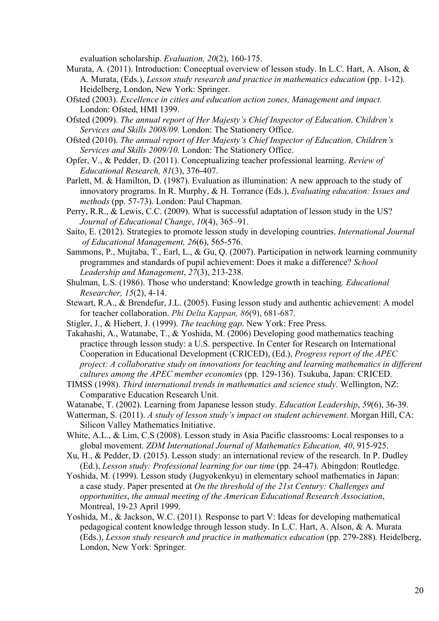evaluation scholarship. *Evaluation, 20*(2), 160-175.

- Murata, A. (2011). Introduction: Conceptual overview of lesson study. In L.C. Hart, A. Alson, & A. Murata, (Eds.), *Lesson study research and practice in mathematics education* (pp. 1-12)*.* Heidelberg, London, New York: Springer.
- Ofsted (2003). *Excellence in cities and education action zones, Management and impact.*  London: Ofsted, HMI 1399.
- Ofsted (2009). *The annual report of Her Majesty's Chief Inspector of Education, Children's Services and Skills 2008/09.* London: The Stationery Office.
- Ofsted (2010). *The annual report of Her Majesty's Chief Inspector of Education, Children's Services and Skills 2009/10.* London: The Stationery Office.
- Opfer, V., & Pedder, D. (2011). Conceptualizing teacher professional learning. *Review of Educational Research, 81*(3), 376-407.
- Parlett, M. & Hamilton, D. (1987). Evaluation as illumination: A new approach to the study of innovatory programs. In R. Murphy, & H. Torrance (Eds.), *Evaluating education: Issues and methods* (pp. 57-73). London: Paul Chapman.
- Perry, R.R., & Lewis, C.C. (2009). What is successful adaptation of lesson study in the US? *Journal of Educational Change*, *10*(4), 365–91.
- Saito, E. (2012). Strategies to promote lesson study in developing countries. *International Journal of Educational Management, 26*(6), 565-576.
- Sammons, P., Mujtaba, T., Earl, L., & Gu, Q. (2007). Participation in network learning community programmes and standards of pupil achievement: Does it make a difference? *School Leadership and Management*, *27*(3), 213-238.
- Shulman, L.S. (1986). Those who understand: Knowledge growth in teaching*. Educational Researcher, 15*(2), 4-14.
- Stewart, R.A., & Brendefur, J.L. (2005). Fusing lesson study and authentic achievement: A model for teacher collaboration. *Phi Delta Kappan, 86*(9), 681-687.
- Stigler, J., & Hiebert, J. (1999). *The teaching gap*. New York: Free Press.
- Takahashi, A., Watanabe, T., & Yoshida, M. (2006) Developing good mathematics teaching practice through lesson study: a U.S. perspective. In Center for Research on International Cooperation in Educational Development (CRICED), (Ed.), *Progress report of the APEC project: A collaborative study on innovations for teaching and learning mathematics in different cultures among the APEC member economies* (pp. 129-136). Tsukuba, Japan: CRICED.
- TIMSS (1998). *Third international trends in mathematics and science study*. Wellington, NZ: Comparative Education Research Unit.
- Watanabe, T. (2002). Learning from Japanese lesson study. *Education Leadership*, *59*(6), 36-39.
- Watterman, S. (2011). *A study of lesson study's impact on student achievement*. Morgan Hill, CA: Silicon Valley Mathematics Initiative.
- White, A.L., & Lim, C.S (2008). Lesson study in Asia Pacific classrooms: Local responses to a global movement. *ZDM International Journal of Mathematics Education, 40*, 915-925.
- Xu, H., & Pedder, D. (2015). Lesson study: an international review of the research. In P. Dudley (Ed.), *Lesson study: Professional learning for our time* (pp. 24-47). Abingdon: Routledge.
- Yoshida, M. (1999). Lesson study (Jugyokenkyu) in elementary school mathematics in Japan: a case study. Paper presented at *On the threshold of the 21st Century: Challenges and opportunities*, *the annual meeting of the American Educational Research Association*, Montreal, 19-23 April 1999.
- Yoshida, M., & Jackson, W.C. (2011)*.* Response to part V: Ideas for developing mathematical pedagogical content knowledge through lesson study. In L.C. Hart, A. Alson, & A. Murata (Eds.), *Lesson study research and practice in mathematics education* (pp. 279-288)*.* Heidelberg, London, New York: Springer.